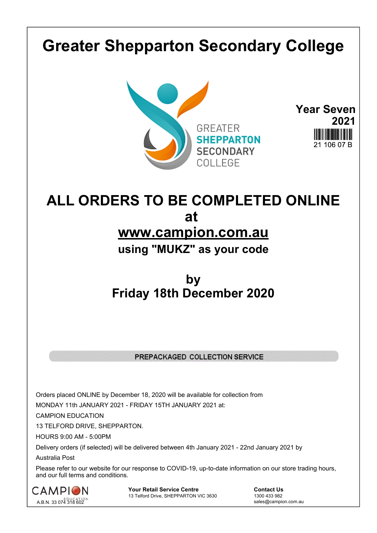## **Greater Shepparton Secondary College**





## **ALL ORDERS TO BE COMPLETED ONLINE at www.campion.com.au using "MUKZ" as your code**

## **by Friday 18th December 2020**

## PREPACKAGED COLLECTION SERVICE

Orders placed ONLINE by December 18, 2020 will be available for collection from

MONDAY 11th JANUARY 2021 - FRIDAY 15TH JANUARY 2021 at:

CAMPION EDUCATION

13 TELFORD DRIVE, SHEPPARTON.

HOURS 9:00 AM - 5:00PM

Delivery orders (if selected) will be delivered between 4th January 2021 - 22nd January 2021 by

Australia Post

Please refer to our website for our response to COVID-19, up-to-date information on our store trading hours, and our full terms and conditions.



**Your Retail Service Centre Contact Us**<br>
13 Telford Drive, SHEPPARTON VIC 3630

1300 433 982 13 Telford Drive, SHEPPARTON VIC 3630

sales@campion.com.au